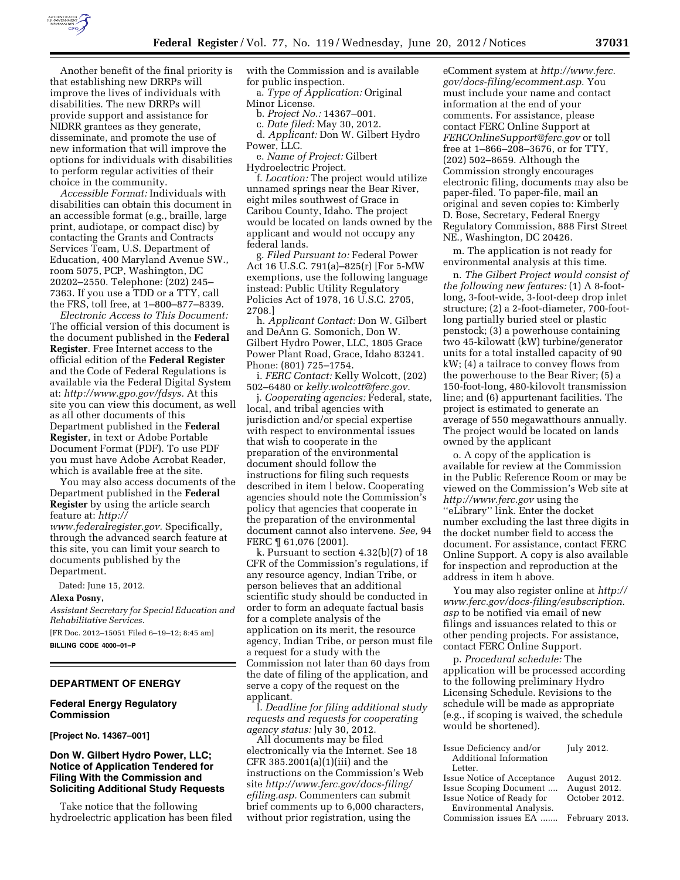

Another benefit of the final priority is that establishing new DRRPs will improve the lives of individuals with disabilities. The new DRRPs will provide support and assistance for NIDRR grantees as they generate, disseminate, and promote the use of new information that will improve the options for individuals with disabilities to perform regular activities of their choice in the community.

*Accessible Format:* Individuals with disabilities can obtain this document in an accessible format (e.g., braille, large print, audiotape, or compact disc) by contacting the Grants and Contracts Services Team, U.S. Department of Education, 400 Maryland Avenue SW., room 5075, PCP, Washington, DC 20202–2550. Telephone: (202) 245– 7363. If you use a TDD or a TTY, call the FRS, toll free, at 1–800–877–8339.

*Electronic Access to This Document:*  The official version of this document is the document published in the **Federal Register**. Free Internet access to the official edition of the **Federal Register**  and the Code of Federal Regulations is available via the Federal Digital System at: *[http://www.gpo.gov/fdsys.](http://www.gpo.gov/fdsys)* At this site you can view this document, as well as all other documents of this Department published in the **Federal Register**, in text or Adobe Portable Document Format (PDF). To use PDF you must have Adobe Acrobat Reader, which is available free at the site.

You may also access documents of the Department published in the **Federal Register** by using the article search feature at: *[http://](http://www.federalregister.gov)  [www.federalregister.gov.](http://www.federalregister.gov)* Specifically,

through the advanced search feature at this site, you can limit your search to documents published by the Department.

Dated: June 15, 2012.

### **Alexa Posny,**

*Assistant Secretary for Special Education and Rehabilitative Services.* 

[FR Doc. 2012–15051 Filed 6–19–12; 8:45 am] **BILLING CODE 4000–01–P** 

### **DEPARTMENT OF ENERGY**

### **Federal Energy Regulatory Commission**

**[Project No. 14367–001]** 

### **Don W. Gilbert Hydro Power, LLC; Notice of Application Tendered for Filing With the Commission and Soliciting Additional Study Requests**

Take notice that the following hydroelectric application has been filed with the Commission and is available for public inspection.

a. *Type of Application:* Original Minor License.

b. *Project No.:* 14367–001.

c. *Date filed:* May 30, 2012.

d. *Applicant:* Don W. Gilbert Hydro Power, LLC.

e. *Name of Project:* Gilbert Hydroelectric Project.

f. *Location:* The project would utilize unnamed springs near the Bear River, eight miles southwest of Grace in Caribou County, Idaho. The project would be located on lands owned by the applicant and would not occupy any federal lands.

g. *Filed Pursuant to:* Federal Power Act 16 U.S.C. 791(a)–825(r) [For 5-MW exemptions, use the following language instead: Public Utility Regulatory Policies Act of 1978, 16 U.S.C. 2705, 2708.]

h. *Applicant Contact:* Don W. Gilbert and DeAnn G. Somonich, Don W. Gilbert Hydro Power, LLC, 1805 Grace Power Plant Road, Grace, Idaho 83241. Phone: (801) 725–1754.

i. *FERC Contact:* Kelly Wolcott, (202) 502–6480 or *[kelly.wolcott@ferc.gov.](mailto:kelly.wolcott@ferc.gov)* 

j. *Cooperating agencies:* Federal, state, local, and tribal agencies with jurisdiction and/or special expertise with respect to environmental issues that wish to cooperate in the preparation of the environmental document should follow the instructions for filing such requests described in item l below. Cooperating agencies should note the Commission's policy that agencies that cooperate in the preparation of the environmental document cannot also intervene. *See,* 94 FERC ¶ 61,076 (2001).

k. Pursuant to section 4.32(b)(7) of 18 CFR of the Commission's regulations, if any resource agency, Indian Tribe, or person believes that an additional scientific study should be conducted in order to form an adequate factual basis for a complete analysis of the application on its merit, the resource agency, Indian Tribe, or person must file a request for a study with the Commission not later than 60 days from the date of filing of the application, and serve a copy of the request on the applicant.

l. *Deadline for filing additional study requests and requests for cooperating agency status:* July 30, 2012.

All documents may be filed electronically via the Internet. See 18 CFR 385.2001(a)(1)(iii) and the instructions on the Commission's Web site *[http://www.ferc.gov/docs-filing/](http://www.ferc.gov/docs-filing/efiling.asp) [efiling.asp.](http://www.ferc.gov/docs-filing/efiling.asp)* Commenters can submit brief comments up to 6,000 character without prior registration, using the

eComment system at *[http://www.ferc.](http://www.ferc.gov/docs-filing/ecomment.asp) [gov/docs-filing/ecomment.asp.](http://www.ferc.gov/docs-filing/ecomment.asp)* You must include your name and contact information at the end of your comments. For assistance, please contact FERC Online Support at *[FERCOnlineSupport@ferc.gov](mailto:FERCOnlineSupport@ferc.gov)* or toll free at 1–866–208–3676, or for TTY, (202) 502–8659. Although the Commission strongly encourages electronic filing, documents may also be paper-filed. To paper-file, mail an original and seven copies to: Kimberly D. Bose, Secretary, Federal Energy Regulatory Commission, 888 First Street NE., Washington, DC 20426.

m. The application is not ready for environmental analysis at this time.

n. *The Gilbert Project would consist of the following new features:* (1) A 8-footlong, 3-foot-wide, 3-foot-deep drop inlet structure; (2) a 2-foot-diameter, 700-footlong partially buried steel or plastic penstock; (3) a powerhouse containing two 45-kilowatt (kW) turbine/generator units for a total installed capacity of 90 kW; (4) a tailrace to convey flows from the powerhouse to the Bear River; (5) a 150-foot-long, 480-kilovolt transmission line; and (6) appurtenant facilities. The project is estimated to generate an average of 550 megawatthours annually. The project would be located on lands owned by the applicant

o. A copy of the application is available for review at the Commission in the Public Reference Room or may be viewed on the Commission's Web site at *<http://www.ferc.gov>*using the ''eLibrary'' link. Enter the docket number excluding the last three digits in the docket number field to access the document. For assistance, contact FERC Online Support. A copy is also available for inspection and reproduction at the address in item h above.

You may also register online at *[http://](http://www.ferc.gov/docs-filing/esubscription.asp) [www.ferc.gov/docs-filing/esubscription.](http://www.ferc.gov/docs-filing/esubscription.asp) [asp](http://www.ferc.gov/docs-filing/esubscription.asp)* to be notified via email of new filings and issuances related to this or other pending projects. For assistance, contact FERC Online Support.

p. *Procedural schedule:* The application will be processed according to the following preliminary Hydro Licensing Schedule. Revisions to the schedule will be made as appropriate (e.g., if scoping is waived, the schedule would be shortened).

|     | Issue Deficiency and/or              | July 2012.    |
|-----|--------------------------------------|---------------|
|     | Additional Information               |               |
| эþ  | Letter.                              |               |
|     | Issue Notice of Acceptance           | August 2012.  |
|     | Issue Scoping Document               | August 2012.  |
|     | Issue Notice of Ready for            | October 2012. |
| ٢S. | Environmental Analysis.              |               |
|     | Commission issues EA  February 2013. |               |
|     |                                      |               |